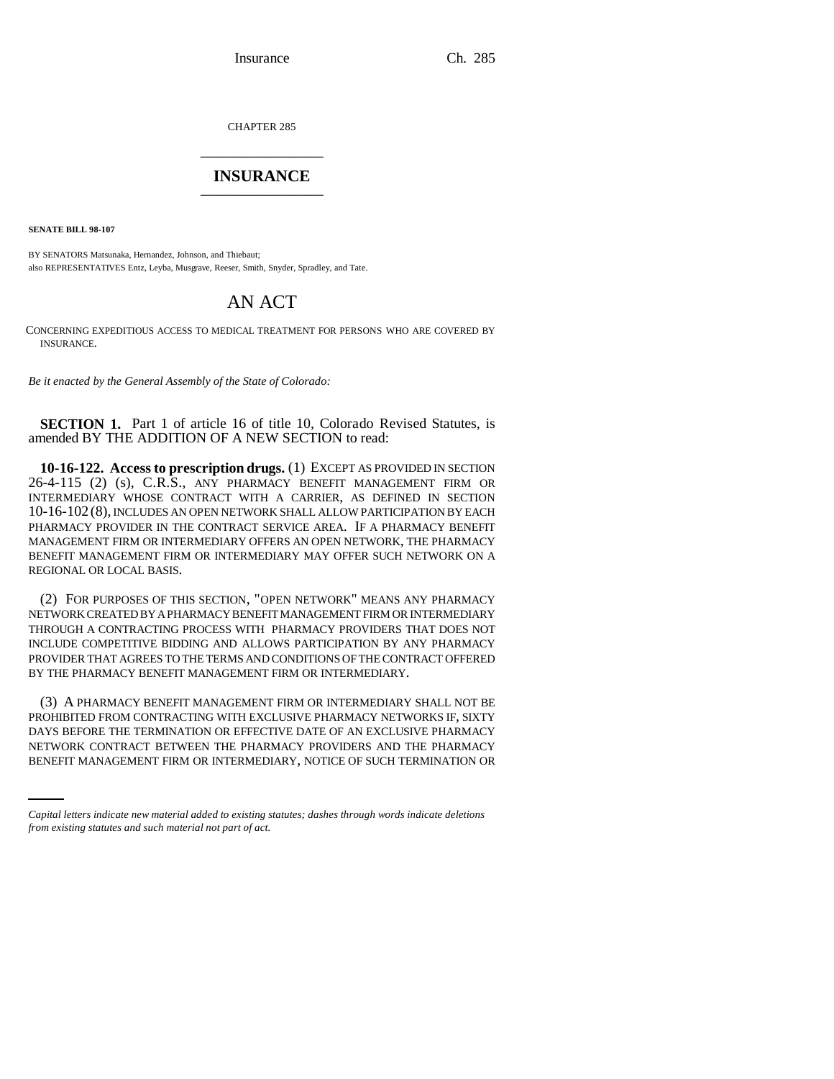Insurance Ch. 285

CHAPTER 285 \_\_\_\_\_\_\_\_\_\_\_\_\_\_\_

## **INSURANCE** \_\_\_\_\_\_\_\_\_\_\_\_\_\_\_

**SENATE BILL 98-107**

BY SENATORS Matsunaka, Hernandez, Johnson, and Thiebaut; also REPRESENTATIVES Entz, Leyba, Musgrave, Reeser, Smith, Snyder, Spradley, and Tate.

## AN ACT

CONCERNING EXPEDITIOUS ACCESS TO MEDICAL TREATMENT FOR PERSONS WHO ARE COVERED BY INSURANCE.

*Be it enacted by the General Assembly of the State of Colorado:*

**SECTION 1.** Part 1 of article 16 of title 10, Colorado Revised Statutes, is amended BY THE ADDITION OF A NEW SECTION to read:

**10-16-122. Access to prescription drugs.** (1) EXCEPT AS PROVIDED IN SECTION 26-4-115 (2) (s), C.R.S., ANY PHARMACY BENEFIT MANAGEMENT FIRM OR INTERMEDIARY WHOSE CONTRACT WITH A CARRIER, AS DEFINED IN SECTION 10-16-102 (8), INCLUDES AN OPEN NETWORK SHALL ALLOW PARTICIPATION BY EACH PHARMACY PROVIDER IN THE CONTRACT SERVICE AREA. IF A PHARMACY BENEFIT MANAGEMENT FIRM OR INTERMEDIARY OFFERS AN OPEN NETWORK, THE PHARMACY BENEFIT MANAGEMENT FIRM OR INTERMEDIARY MAY OFFER SUCH NETWORK ON A REGIONAL OR LOCAL BASIS.

(2) FOR PURPOSES OF THIS SECTION, "OPEN NETWORK" MEANS ANY PHARMACY NETWORK CREATED BY A PHARMACY BENEFIT MANAGEMENT FIRM OR INTERMEDIARY THROUGH A CONTRACTING PROCESS WITH PHARMACY PROVIDERS THAT DOES NOT INCLUDE COMPETITIVE BIDDING AND ALLOWS PARTICIPATION BY ANY PHARMACY PROVIDER THAT AGREES TO THE TERMS AND CONDITIONS OF THE CONTRACT OFFERED BY THE PHARMACY BENEFIT MANAGEMENT FIRM OR INTERMEDIARY.

DAYS BEFORE THE TERMINATION OR EFFECTIVE DATE OF AN EXCLUSIVE PHARMACY (3) A PHARMACY BENEFIT MANAGEMENT FIRM OR INTERMEDIARY SHALL NOT BE PROHIBITED FROM CONTRACTING WITH EXCLUSIVE PHARMACY NETWORKS IF, SIXTY NETWORK CONTRACT BETWEEN THE PHARMACY PROVIDERS AND THE PHARMACY BENEFIT MANAGEMENT FIRM OR INTERMEDIARY, NOTICE OF SUCH TERMINATION OR

*Capital letters indicate new material added to existing statutes; dashes through words indicate deletions from existing statutes and such material not part of act.*